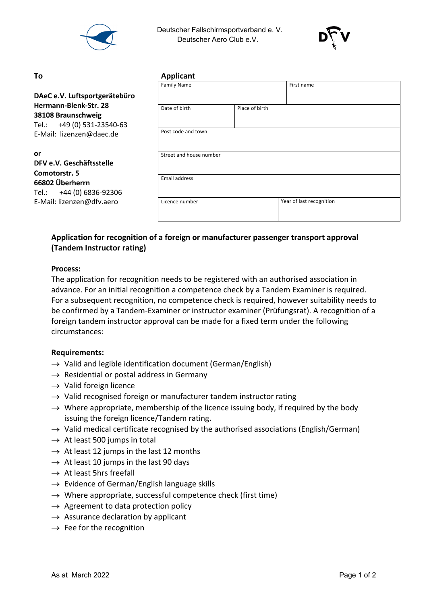

 Deutscher Fallschirmsportverband e. V. Deutscher Aero Club e.V.



#### **or**

# **DFV e.V. Geschäftsstelle Comotorstr. 5 66802 Überherrn** Tel.: +44 (0) 6836-92306 E-Mail: lizenzen@dfv.aero

| To                                                                                                    | <b>Applicant</b>        |                |                          |  |
|-------------------------------------------------------------------------------------------------------|-------------------------|----------------|--------------------------|--|
|                                                                                                       | <b>Family Name</b>      |                | First name               |  |
| DAeC e.V. Luftsportgerätebüro                                                                         |                         |                |                          |  |
| Hermann-Blenk-Str. 28<br>38108 Braunschweig<br>Tel.: +49 (0) 531-23540-63<br>E-Mail: lizenzen@daec.de | Date of birth           | Place of birth |                          |  |
|                                                                                                       | Post code and town      |                |                          |  |
| or<br>DFV e.V. Geschäftsstelle<br>Comotorstr. 5                                                       | Street and house number |                |                          |  |
| 66802 Überherrn<br>Tel.: +44 (0) 6836-92306                                                           | Email address           |                |                          |  |
| E-Mail: lizenzen@dfv.aero                                                                             | Licence number          |                | Year of last recognition |  |

# **Application for recognition of a foreign or manufacturer passenger transport approval (Tandem Instructor rating)**

## **Process:**

The application for recognition needs to be registered with an authorised association in advance. For an initial recognition a competence check by a Tandem Examiner is required. For a subsequent recognition, no competence check is required, however suitability needs to be confirmed by a Tandem-Examiner or instructor examiner (Prüfungsrat). A recognition of a foreign tandem instructor approval can be made for a fixed term under the following circumstances:

## **Requirements:**

- $\rightarrow$  Valid and legible identification document (German/English)
- $\rightarrow$  Residential or postal address in Germany
- $\rightarrow$  Valid foreign licence
- $\rightarrow$  Valid recognised foreign or manufacturer tandem instructor rating
- $\rightarrow$  Where appropriate, membership of the licence issuing body, if required by the body issuing the foreign licence/Tandem rating.
- $\rightarrow$  Valid medical certificate recognised by the authorised associations (English/German)
- $\rightarrow$  At least 500 jumps in total
- $\rightarrow$  At least 12 jumps in the last 12 months
- $\rightarrow$  At least 10 jumps in the last 90 days
- $\rightarrow$  At least 5hrs freefall
- $\rightarrow$  Evidence of German/English language skills
- $\rightarrow$  Where appropriate, successful competence check (first time)
- $\rightarrow$  Agreement to data protection policy
- $\rightarrow$  Assurance declaration by applicant
- $\rightarrow$  Fee for the recognition